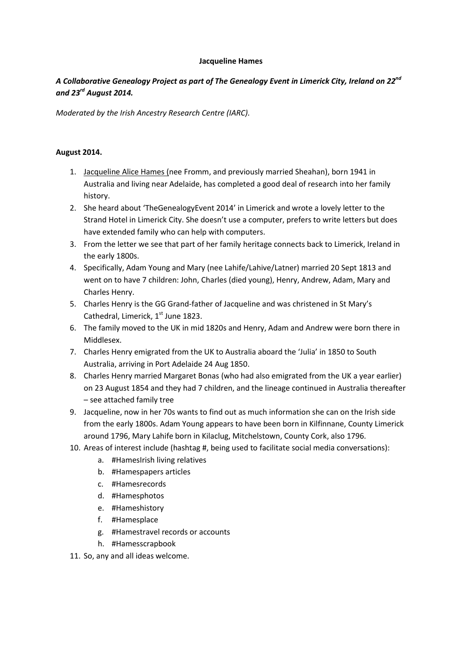## **Jacqueline Hames**

## *A Collaborative Genealogy Project as part of The Genealogy Event in Limerick City, Ireland on 22nd and 23rd August 2014.*

*Moderated by the Irish Ancestry Research Centre (IARC).*

## **August 2014.**

- 1. Jacqueline Alice Hames (nee Fromm, and previously married Sheahan), born 1941 in Australia and living near Adelaide, has completed a good deal of research into her family history.
- 2. She heard about 'TheGenealogyEvent 2014' in Limerick and wrote a lovely letter to the Strand Hotel in Limerick City. She doesn't use a computer, prefers to write letters but does have extended family who can help with computers.
- 3. From the letter we see that part of her family heritage connects back to Limerick, Ireland in the early 1800s.
- 4. Specifically, Adam Young and Mary (nee Lahife/Lahive/Latner) married 20 Sept 1813 and went on to have 7 children: John, Charles (died young), Henry, Andrew, Adam, Mary and Charles Henry.
- 5. Charles Henry is the GG Grand-father of Jacqueline and was christened in St Mary's Cathedral, Limerick,  $1<sup>st</sup>$  June 1823.
- 6. The family moved to the UK in mid 1820s and Henry, Adam and Andrew were born there in Middlesex.
- 7. Charles Henry emigrated from the UK to Australia aboard the 'Julia' in 1850 to South Australia, arriving in Port Adelaide 24 Aug 1850.
- 8. Charles Henry married Margaret Bonas (who had also emigrated from the UK a year earlier) on 23 August 1854 and they had 7 children, and the lineage continued in Australia thereafter – see attached family tree
- 9. Jacqueline, now in her 70s wants to find out as much information she can on the Irish side from the early 1800s. Adam Young appears to have been born in Kilfinnane, County Limerick around 1796, Mary Lahife born in Kilaclug, Mitchelstown, County Cork, also 1796.
- 10. Areas of interest include (hashtag #, being used to facilitate social media conversations):
	- a. #HamesIrish living relatives
	- b. #Hamespapers articles
	- c. #Hamesrecords
	- d. #Hamesphotos
	- e. #Hameshistory
	- f. #Hamesplace
	- g. #Hamestravel records or accounts
	- h. #Hamesscrapbook
- 11. So, any and all ideas welcome.